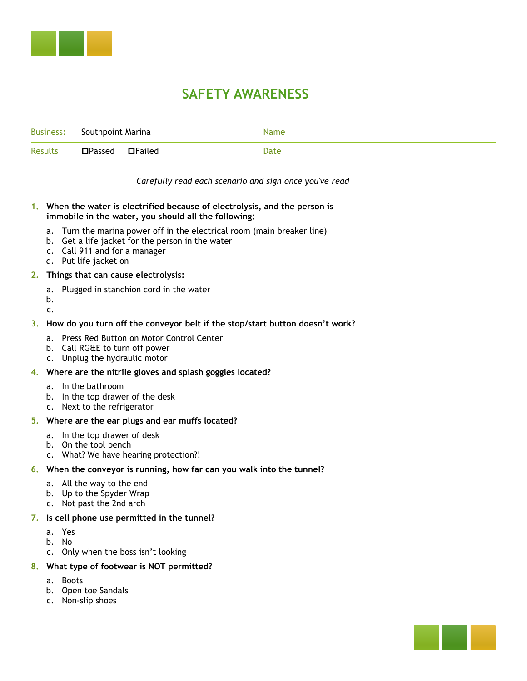

## **SAFETY AWARENESS**

|                  |                                                             |                                                                      | JAI LI I AWANLINLJJ |                                                                                             |                                                                                                  |  |
|------------------|-------------------------------------------------------------|----------------------------------------------------------------------|---------------------|---------------------------------------------------------------------------------------------|--------------------------------------------------------------------------------------------------|--|
| <b>Business:</b> | Southpoint Marina                                           |                                                                      |                     | Name                                                                                        |                                                                                                  |  |
| Results          | <b>O</b> Passed                                             | $\blacksquare$ Failed                                                |                     | Date                                                                                        |                                                                                                  |  |
|                  |                                                             |                                                                      |                     | When someone sells their boat or gives their slip to someone else, you should: fBL          |                                                                                                  |  |
| a.               | c. Fill out new contract<br>d. All of the above             | The seller or buyer is responsible for a \$99 transfer fee           |                     | b. Make sure the seller knows that they are signing over rights of slip to the buyer        |                                                                                                  |  |
|                  |                                                             | When someone wants to change slips:                                  |                     |                                                                                             |                                                                                                  |  |
|                  | a. Fill out a slip change form<br>d. All the above          | b. Add them to the waiting list if the marina is sold out            |                     | c. Boater should pay the difference in price if they are moving to a more expensive slip    |                                                                                                  |  |
|                  |                                                             | Short Answer: <u>with a state of the state of the state of</u>       |                     |                                                                                             | How much money should be in the register drawer as long as there was no payout? fl 200.00 k      |  |
| 4.               |                                                             | What is the chain of command when there is an issue? f <i>IV</i> E   |                     |                                                                                             |                                                                                                  |  |
|                  | a. Manager --> shift leader<br>b. Shift leader --> director | c. shift leader ---> manager --> director                            |                     |                                                                                             |                                                                                                  |  |
|                  |                                                             | When should we boot cars? What's the charge? fct.                    |                     |                                                                                             |                                                                                                  |  |
| $\mathsf{C}$ .   | b. Everyday; $$50.00$                                       | a. Thursdays 4pm - Sundays; \$80.00                                  |                     |                                                                                             | Fridays 4pm - Sundays, exception: holidays during the weekdays or when it's really busy; \$65.00 |  |
|                  | Short Answer:                                               |                                                                      |                     | 6. If someone asks for winterined boat storage over the winter, what do you say? fcall A/AL |                                                                                                  |  |
|                  | Short Answer: _________________                             | What's the tv password to get into the cameras? fB88888L             |                     |                                                                                             |                                                                                                  |  |
| c. wade          | a. vanhook<br>b. danielle from precision pool               | When there's a pool issue, who do you call?                          | B                   |                                                                                             |                                                                                                  |  |
|                  | Short Answer:                                               | 9. How do you order Pepsi products? online account                   |                     |                                                                                             |                                                                                                  |  |
| b. atti          | a. frontier<br>c. tim harrington                            | Who do you call when having electric issues?                         | tim                 |                                                                                             |                                                                                                  |  |
|                  | a. yan Plumbing or atti<br>b. FloWater                      | Who do you call when there is a plumbing issue?                      | ryan                |                                                                                             |                                                                                                  |  |
|                  | a. greenlight<br>b. elcom                                   | Who do you call when there is an internet issue on the docks? relcom |                     |                                                                                             |                                                                                                  |  |
|                  | a. vanhook<br>b. greenlight                                 | Who provides our internet service?                                   | greenlight          |                                                                                             |                                                                                                  |  |
|                  |                                                             | Who provides our phone line service? frontier                        |                     |                                                                                             |                                                                                                  |  |

- b. greenlight
- 4. Who provides our phone line service? frontier
	- a. greenlight
	- b. frontier